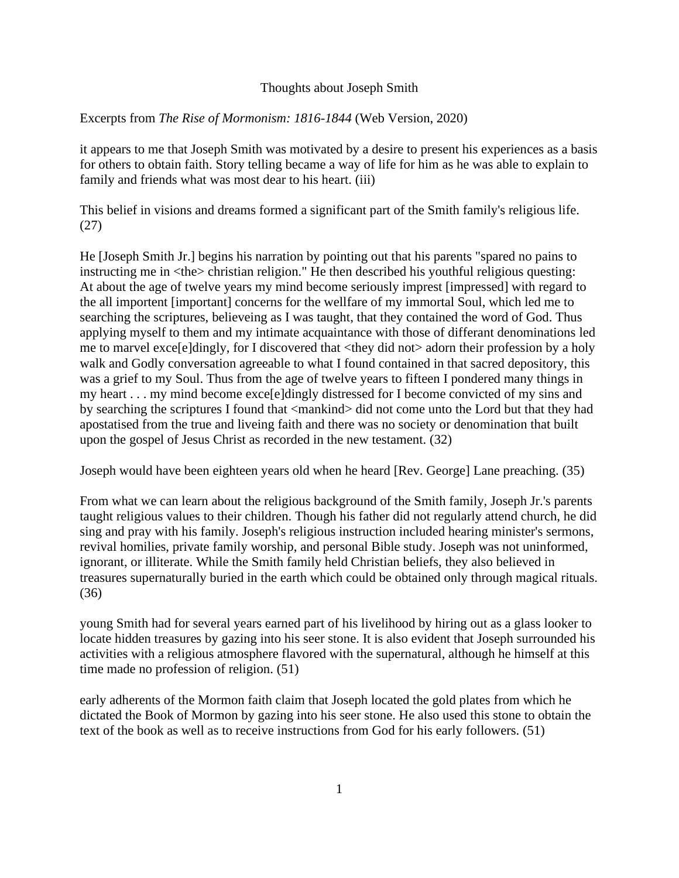## Thoughts about Joseph Smith

## Excerpts from *The Rise of Mormonism: 1816-1844* (Web Version, 2020)

it appears to me that Joseph Smith was motivated by a desire to present his experiences as a basis for others to obtain faith. Story telling became a way of life for him as he was able to explain to family and friends what was most dear to his heart. (iii)

This belief in visions and dreams formed a significant part of the Smith family's religious life. (27)

He [Joseph Smith Jr.] begins his narration by pointing out that his parents "spared no pains to instructing me in  $\langle$ the $\rangle$  christian religion." He then described his youthful religious questing: At about the age of twelve years my mind become seriously imprest [impressed] with regard to the all importent [important] concerns for the wellfare of my immortal Soul, which led me to searching the scriptures, believeing as I was taught, that they contained the word of God. Thus applying myself to them and my intimate acquaintance with those of differant denominations led me to marvel exce[e]dingly, for I discovered that <they did not> adorn their profession by a holy walk and Godly conversation agreeable to what I found contained in that sacred depository, this was a grief to my Soul. Thus from the age of twelve years to fifteen I pondered many things in my heart . . . my mind become exce[e]dingly distressed for I become convicted of my sins and by searching the scriptures I found that <mankind> did not come unto the Lord but that they had apostatised from the true and liveing faith and there was no society or denomination that built upon the gospel of Jesus Christ as recorded in the new testament. (32)

Joseph would have been eighteen years old when he heard [Rev. George] Lane preaching. (35)

From what we can learn about the religious background of the Smith family, Joseph Jr.'s parents taught religious values to their children. Though his father did not regularly attend church, he did sing and pray with his family. Joseph's religious instruction included hearing minister's sermons, revival homilies, private family worship, and personal Bible study. Joseph was not uninformed, ignorant, or illiterate. While the Smith family held Christian beliefs, they also believed in treasures supernaturally buried in the earth which could be obtained only through magical rituals. (36)

young Smith had for several years earned part of his livelihood by hiring out as a glass looker to locate hidden treasures by gazing into his seer stone. It is also evident that Joseph surrounded his activities with a religious atmosphere flavored with the supernatural, although he himself at this time made no profession of religion. (51)

early adherents of the Mormon faith claim that Joseph located the gold plates from which he dictated the Book of Mormon by gazing into his seer stone. He also used this stone to obtain the text of the book as well as to receive instructions from God for his early followers. (51)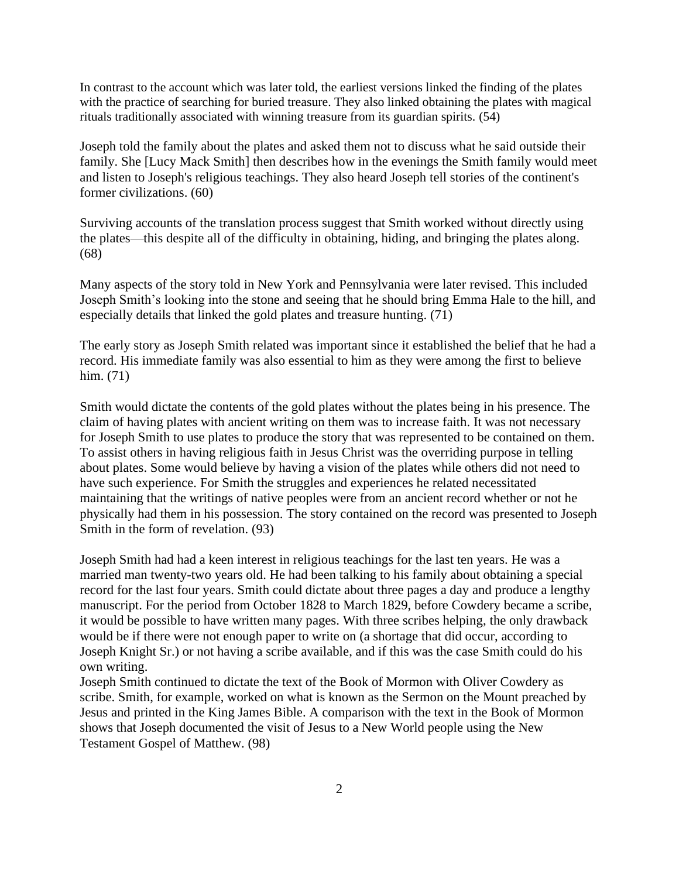In contrast to the account which was later told, the earliest versions linked the finding of the plates with the practice of searching for buried treasure. They also linked obtaining the plates with magical rituals traditionally associated with winning treasure from its guardian spirits.  $(54)$ 

Joseph told the family about the plates and asked them not to discuss what he said outside their family. She [Lucy Mack Smith] then describes how in the evenings the Smith family would meet and listen to Joseph's religious teachings. They also heard Joseph tell stories of the continent's former civilizations. (60)

Surviving accounts of the translation process suggest that Smith worked without directly using the plates—this despite all of the difficulty in obtaining, hiding, and bringing the plates along. (68)

Many aspects of the story told in New York and Pennsylvania were later revised. This included Joseph Smith's looking into the stone and seeing that he should bring Emma Hale to the hill, and especially details that linked the gold plates and treasure hunting. (71)

The early story as Joseph Smith related was important since it established the belief that he had a record. His immediate family was also essential to him as they were among the first to believe him. (71)

Smith would dictate the contents of the gold plates without the plates being in his presence. The claim of having plates with ancient writing on them was to increase faith. It was not necessary for Joseph Smith to use plates to produce the story that was represented to be contained on them. To assist others in having religious faith in Jesus Christ was the overriding purpose in telling about plates. Some would believe by having a vision of the plates while others did not need to have such experience. For Smith the struggles and experiences he related necessitated maintaining that the writings of native peoples were from an ancient record whether or not he physically had them in his possession. The story contained on the record was presented to Joseph Smith in the form of revelation. (93)

Joseph Smith had had a keen interest in religious teachings for the last ten years. He was a married man twenty-two years old. He had been talking to his family about obtaining a special record for the last four years. Smith could dictate about three pages a day and produce a lengthy manuscript. For the period from October 1828 to March 1829, before Cowdery became a scribe, it would be possible to have written many pages. With three scribes helping, the only drawback would be if there were not enough paper to write on (a shortage that did occur, according to Joseph Knight Sr.) or not having a scribe available, and if this was the case Smith could do his own writing.

Joseph Smith continued to dictate the text of the Book of Mormon with Oliver Cowdery as scribe. Smith, for example, worked on what is known as the Sermon on the Mount preached by Jesus and printed in the King James Bible. A comparison with the text in the Book of Mormon shows that Joseph documented the visit of Jesus to a New World people using the New Testament Gospel of Matthew. (98)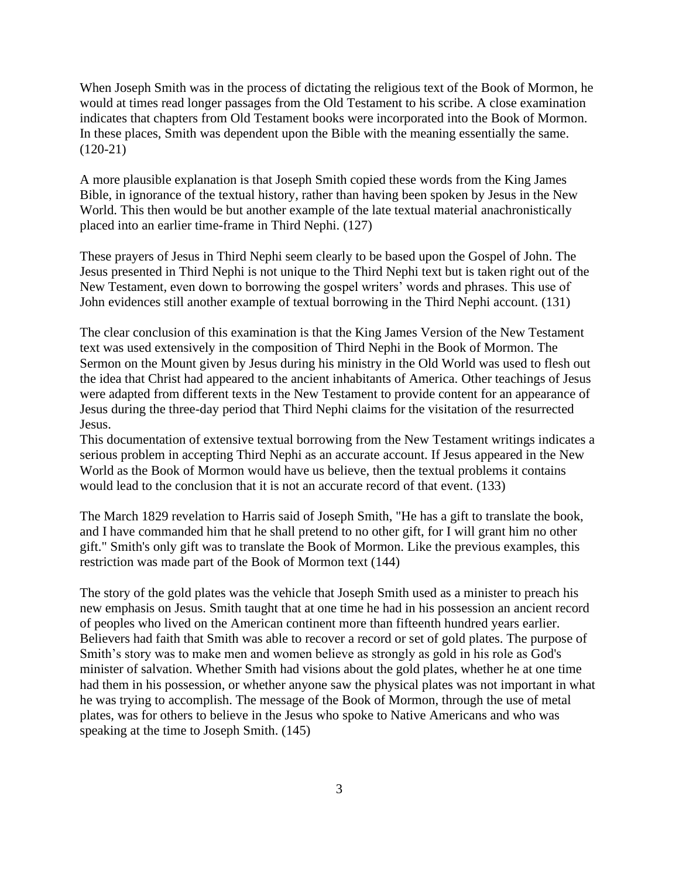When Joseph Smith was in the process of dictating the religious text of the Book of Mormon, he would at times read longer passages from the Old Testament to his scribe. A close examination indicates that chapters from Old Testament books were incorporated into the Book of Mormon. In these places, Smith was dependent upon the Bible with the meaning essentially the same. (120-21)

A more plausible explanation is that Joseph Smith copied these words from the King James Bible, in ignorance of the textual history, rather than having been spoken by Jesus in the New World. This then would be but another example of the late textual material anachronistically placed into an earlier time-frame in Third Nephi. (127)

These prayers of Jesus in Third Nephi seem clearly to be based upon the Gospel of John. The Jesus presented in Third Nephi is not unique to the Third Nephi text but is taken right out of the New Testament, even down to borrowing the gospel writers' words and phrases. This use of John evidences still another example of textual borrowing in the Third Nephi account. (131)

The clear conclusion of this examination is that the King James Version of the New Testament text was used extensively in the composition of Third Nephi in the Book of Mormon. The Sermon on the Mount given by Jesus during his ministry in the Old World was used to flesh out the idea that Christ had appeared to the ancient inhabitants of America. Other teachings of Jesus were adapted from different texts in the New Testament to provide content for an appearance of Jesus during the three-day period that Third Nephi claims for the visitation of the resurrected Jesus.

This documentation of extensive textual borrowing from the New Testament writings indicates a serious problem in accepting Third Nephi as an accurate account. If Jesus appeared in the New World as the Book of Mormon would have us believe, then the textual problems it contains would lead to the conclusion that it is not an accurate record of that event. (133)

The March 1829 revelation to Harris said of Joseph Smith, "He has a gift to translate the book, and I have commanded him that he shall pretend to no other gift, for I will grant him no other gift." Smith's only gift was to translate the Book of Mormon. Like the previous examples, this restriction was made part of the Book of Mormon text (144)

The story of the gold plates was the vehicle that Joseph Smith used as a minister to preach his new emphasis on Jesus. Smith taught that at one time he had in his possession an ancient record of peoples who lived on the American continent more than fifteenth hundred years earlier. Believers had faith that Smith was able to recover a record or set of gold plates. The purpose of Smith's story was to make men and women believe as strongly as gold in his role as God's minister of salvation. Whether Smith had visions about the gold plates, whether he at one time had them in his possession, or whether anyone saw the physical plates was not important in what he was trying to accomplish. The message of the Book of Mormon, through the use of metal plates, was for others to believe in the Jesus who spoke to Native Americans and who was speaking at the time to Joseph Smith. (145)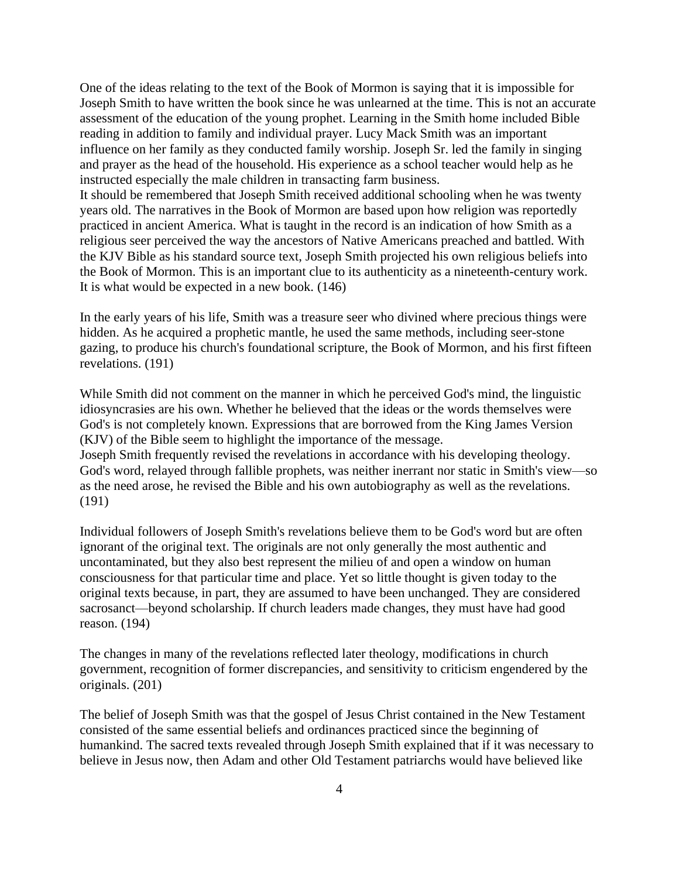One of the ideas relating to the text of the Book of Mormon is saying that it is impossible for Joseph Smith to have written the book since he was unlearned at the time. This is not an accurate assessment of the education of the young prophet. Learning in the Smith home included Bible reading in addition to family and individual prayer. Lucy Mack Smith was an important influence on her family as they conducted family worship. Joseph Sr. led the family in singing and prayer as the head of the household. His experience as a school teacher would help as he instructed especially the male children in transacting farm business. It should be remembered that Joseph Smith received additional schooling when he was twenty years old. The narratives in the Book of Mormon are based upon how religion was reportedly practiced in ancient America. What is taught in the record is an indication of how Smith as a religious seer perceived the way the ancestors of Native Americans preached and battled. With the KJV Bible as his standard source text, Joseph Smith projected his own religious beliefs into the Book of Mormon. This is an important clue to its authenticity as a nineteenth-century work. It is what would be expected in a new book. (146)

In the early years of his life, Smith was a treasure seer who divined where precious things were hidden. As he acquired a prophetic mantle, he used the same methods, including seer-stone gazing, to produce his church's foundational scripture, the Book of Mormon, and his first fifteen revelations. (191)

While Smith did not comment on the manner in which he perceived God's mind, the linguistic idiosyncrasies are his own. Whether he believed that the ideas or the words themselves were God's is not completely known. Expressions that are borrowed from the King James Version (KJV) of the Bible seem to highlight the importance of the message.

Joseph Smith frequently revised the revelations in accordance with his developing theology. God's word, relayed through fallible prophets, was neither inerrant nor static in Smith's view—so as the need arose, he revised the Bible and his own autobiography as well as the revelations. (191)

Individual followers of Joseph Smith's revelations believe them to be God's word but are often ignorant of the original text. The originals are not only generally the most authentic and uncontaminated, but they also best represent the milieu of and open a window on human consciousness for that particular time and place. Yet so little thought is given today to the original texts because, in part, they are assumed to have been unchanged. They are considered sacrosanct—beyond scholarship. If church leaders made changes, they must have had good reason. (194)

The changes in many of the revelations reflected later theology, modifications in church government, recognition of former discrepancies, and sensitivity to criticism engendered by the originals. (201)

The belief of Joseph Smith was that the gospel of Jesus Christ contained in the New Testament consisted of the same essential beliefs and ordinances practiced since the beginning of humankind. The sacred texts revealed through Joseph Smith explained that if it was necessary to believe in Jesus now, then Adam and other Old Testament patriarchs would have believed like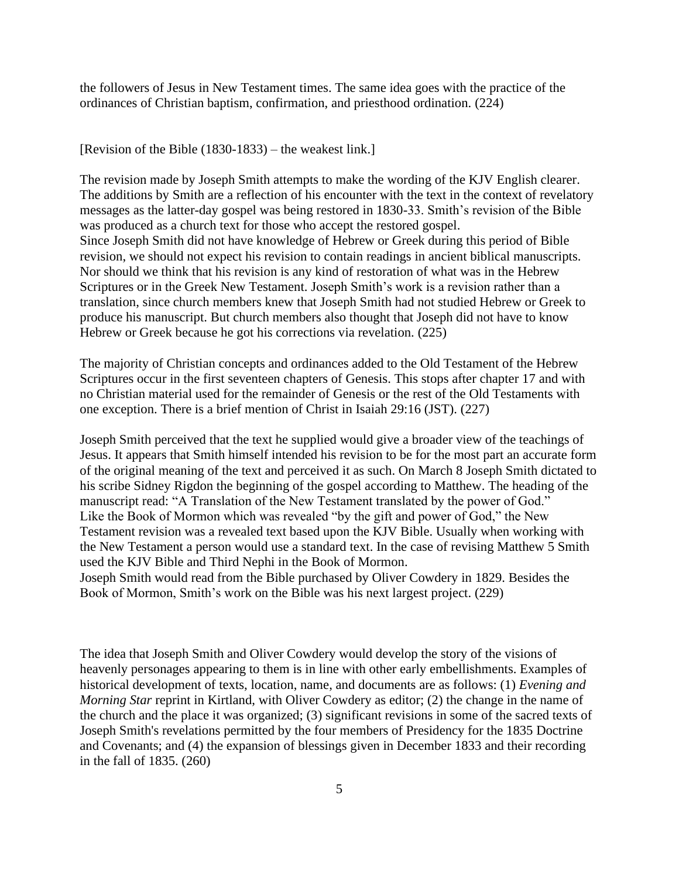the followers of Jesus in New Testament times. The same idea goes with the practice of the ordinances of Christian baptism, confirmation, and priesthood ordination. (224)

## [Revision of the Bible (1830-1833) – the weakest link.]

The revision made by Joseph Smith attempts to make the wording of the KJV English clearer. The additions by Smith are a reflection of his encounter with the text in the context of revelatory messages as the latter-day gospel was being restored in 1830-33. Smith's revision of the Bible was produced as a church text for those who accept the restored gospel. Since Joseph Smith did not have knowledge of Hebrew or Greek during this period of Bible revision, we should not expect his revision to contain readings in ancient biblical manuscripts. Nor should we think that his revision is any kind of restoration of what was in the Hebrew Scriptures or in the Greek New Testament. Joseph Smith's work is a revision rather than a translation, since church members knew that Joseph Smith had not studied Hebrew or Greek to produce his manuscript. But church members also thought that Joseph did not have to know Hebrew or Greek because he got his corrections via revelation. (225)

The majority of Christian concepts and ordinances added to the Old Testament of the Hebrew Scriptures occur in the first seventeen chapters of Genesis. This stops after chapter 17 and with no Christian material used for the remainder of Genesis or the rest of the Old Testaments with one exception. There is a brief mention of Christ in Isaiah 29:16 (JST). (227)

Joseph Smith perceived that the text he supplied would give a broader view of the teachings of Jesus. It appears that Smith himself intended his revision to be for the most part an accurate form of the original meaning of the text and perceived it as such. On March 8 Joseph Smith dictated to his scribe Sidney Rigdon the beginning of the gospel according to Matthew. The heading of the manuscript read: "A Translation of the New Testament translated by the power of God." Like the Book of Mormon which was revealed "by the gift and power of God," the New Testament revision was a revealed text based upon the KJV Bible. Usually when working with the New Testament a person would use a standard text. In the case of revising Matthew 5 Smith used the KJV Bible and Third Nephi in the Book of Mormon.

Joseph Smith would read from the Bible purchased by Oliver Cowdery in 1829. Besides the Book of Mormon, Smith's work on the Bible was his next largest project. (229)

The idea that Joseph Smith and Oliver Cowdery would develop the story of the visions of heavenly personages appearing to them is in line with other early embellishments. Examples of historical development of texts, location, name, and documents are as follows: (1) *Evening and Morning Star reprint in Kirtland, with Oliver Cowdery as editor; (2) the change in the name of* the church and the place it was organized; (3) significant revisions in some of the sacred texts of Joseph Smith's revelations permitted by the four members of Presidency for the 1835 Doctrine and Covenants; and (4) the expansion of blessings given in December 1833 and their recording in the fall of 1835. (260)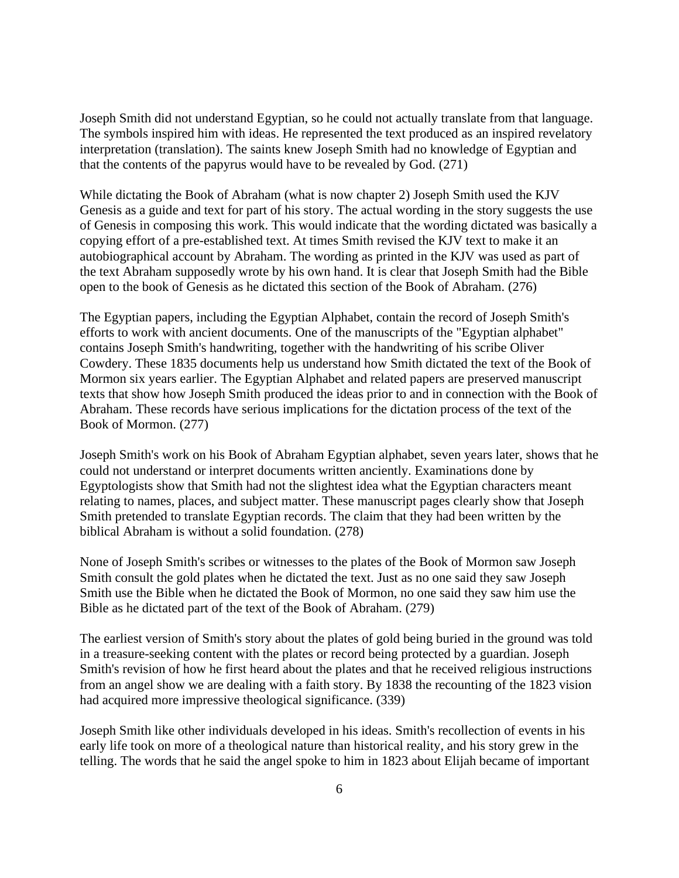Joseph Smith did not understand Egyptian, so he could not actually translate from that language. The symbols inspired him with ideas. He represented the text produced as an inspired revelatory interpretation (translation). The saints knew Joseph Smith had no knowledge of Egyptian and that the contents of the papyrus would have to be revealed by God. (271)

While dictating the Book of Abraham (what is now chapter 2) Joseph Smith used the KJV Genesis as a guide and text for part of his story. The actual wording in the story suggests the use of Genesis in composing this work. This would indicate that the wording dictated was basically a copying effort of a pre-established text. At times Smith revised the KJV text to make it an autobiographical account by Abraham. The wording as printed in the KJV was used as part of the text Abraham supposedly wrote by his own hand. It is clear that Joseph Smith had the Bible open to the book of Genesis as he dictated this section of the Book of Abraham. (276)

The Egyptian papers, including the Egyptian Alphabet, contain the record of Joseph Smith's efforts to work with ancient documents. One of the manuscripts of the "Egyptian alphabet" contains Joseph Smith's handwriting, together with the handwriting of his scribe Oliver Cowdery. These 1835 documents help us understand how Smith dictated the text of the Book of Mormon six years earlier. The Egyptian Alphabet and related papers are preserved manuscript texts that show how Joseph Smith produced the ideas prior to and in connection with the Book of Abraham. These records have serious implications for the dictation process of the text of the Book of Mormon. (277)

Joseph Smith's work on his Book of Abraham Egyptian alphabet, seven years later, shows that he could not understand or interpret documents written anciently. Examinations done by Egyptologists show that Smith had not the slightest idea what the Egyptian characters meant relating to names, places, and subject matter. These manuscript pages clearly show that Joseph Smith pretended to translate Egyptian records. The claim that they had been written by the biblical Abraham is without a solid foundation. (278)

None of Joseph Smith's scribes or witnesses to the plates of the Book of Mormon saw Joseph Smith consult the gold plates when he dictated the text. Just as no one said they saw Joseph Smith use the Bible when he dictated the Book of Mormon, no one said they saw him use the Bible as he dictated part of the text of the Book of Abraham. (279)

The earliest version of Smith's story about the plates of gold being buried in the ground was told in a treasure-seeking content with the plates or record being protected by a guardian. Joseph Smith's revision of how he first heard about the plates and that he received religious instructions from an angel show we are dealing with a faith story. By 1838 the recounting of the 1823 vision had acquired more impressive theological significance. (339)

Joseph Smith like other individuals developed in his ideas. Smith's recollection of events in his early life took on more of a theological nature than historical reality, and his story grew in the telling. The words that he said the angel spoke to him in 1823 about Elijah became of important